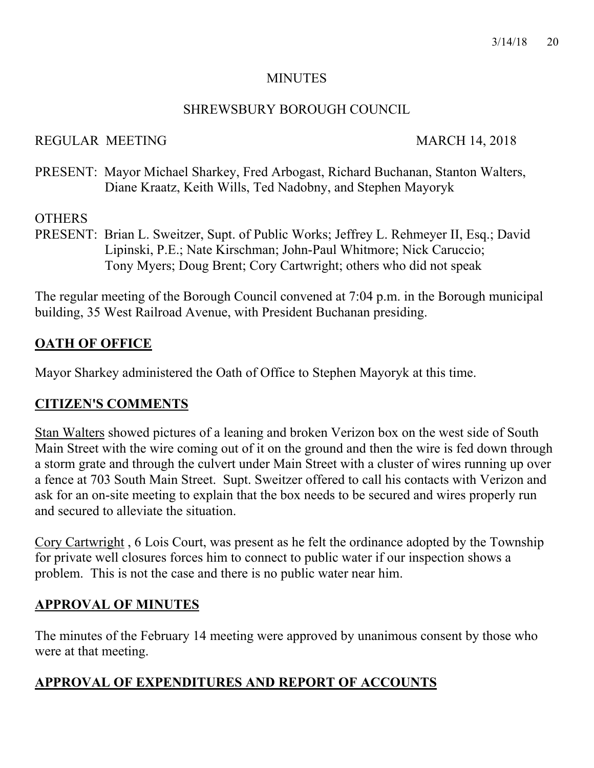#### **MINUTES**

#### SHREWSBURY BOROUGH COUNCIL

#### REGULAR MEETING MARCH 14, 2018

PRESENT: Mayor Michael Sharkey, Fred Arbogast, Richard Buchanan, Stanton Walters, Diane Kraatz, Keith Wills, Ted Nadobny, and Stephen Mayoryk

## **OTHERS**

PRESENT: Brian L. Sweitzer, Supt. of Public Works; Jeffrey L. Rehmeyer II, Esq.; David Lipinski, P.E.; Nate Kirschman; John-Paul Whitmore; Nick Caruccio; Tony Myers; Doug Brent; Cory Cartwright; others who did not speak

The regular meeting of the Borough Council convened at 7:04 p.m. in the Borough municipal building, 35 West Railroad Avenue, with President Buchanan presiding.

# **OATH OF OFFICE**

Mayor Sharkey administered the Oath of Office to Stephen Mayoryk at this time.

## **CITIZEN'S COMMENTS**

Stan Walters showed pictures of a leaning and broken Verizon box on the west side of South Main Street with the wire coming out of it on the ground and then the wire is fed down through a storm grate and through the culvert under Main Street with a cluster of wires running up over a fence at 703 South Main Street. Supt. Sweitzer offered to call his contacts with Verizon and ask for an on-site meeting to explain that the box needs to be secured and wires properly run and secured to alleviate the situation.

Cory Cartwright , 6 Lois Court, was present as he felt the ordinance adopted by the Township for private well closures forces him to connect to public water if our inspection shows a problem. This is not the case and there is no public water near him.

# **APPROVAL OF MINUTES**

The minutes of the February 14 meeting were approved by unanimous consent by those who were at that meeting.

# **APPROVAL OF EXPENDITURES AND REPORT OF ACCOUNTS**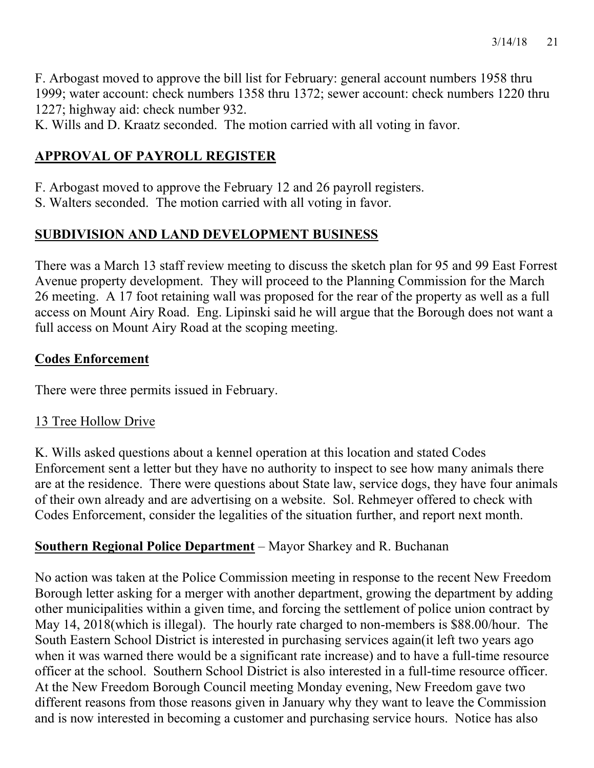F. Arbogast moved to approve the bill list for February: general account numbers 1958 thru 1999; water account: check numbers 1358 thru 1372; sewer account: check numbers 1220 thru 1227; highway aid: check number 932.

K. Wills and D. Kraatz seconded. The motion carried with all voting in favor.

# **APPROVAL OF PAYROLL REGISTER**

- F. Arbogast moved to approve the February 12 and 26 payroll registers.
- S. Walters seconded. The motion carried with all voting in favor.

# **SUBDIVISION AND LAND DEVELOPMENT BUSINESS**

There was a March 13 staff review meeting to discuss the sketch plan for 95 and 99 East Forrest Avenue property development. They will proceed to the Planning Commission for the March 26 meeting. A 17 foot retaining wall was proposed for the rear of the property as well as a full access on Mount Airy Road. Eng. Lipinski said he will argue that the Borough does not want a full access on Mount Airy Road at the scoping meeting.

## **Codes Enforcement**

There were three permits issued in February.

## 13 Tree Hollow Drive

K. Wills asked questions about a kennel operation at this location and stated Codes Enforcement sent a letter but they have no authority to inspect to see how many animals there are at the residence. There were questions about State law, service dogs, they have four animals of their own already and are advertising on a website. Sol. Rehmeyer offered to check with Codes Enforcement, consider the legalities of the situation further, and report next month.

## **Southern Regional Police Department** – Mayor Sharkey and R. Buchanan

No action was taken at the Police Commission meeting in response to the recent New Freedom Borough letter asking for a merger with another department, growing the department by adding other municipalities within a given time, and forcing the settlement of police union contract by May 14, 2018(which is illegal). The hourly rate charged to non-members is \$88.00/hour. The South Eastern School District is interested in purchasing services again(it left two years ago when it was warned there would be a significant rate increase) and to have a full-time resource officer at the school. Southern School District is also interested in a full-time resource officer. At the New Freedom Borough Council meeting Monday evening, New Freedom gave two different reasons from those reasons given in January why they want to leave the Commission and is now interested in becoming a customer and purchasing service hours. Notice has also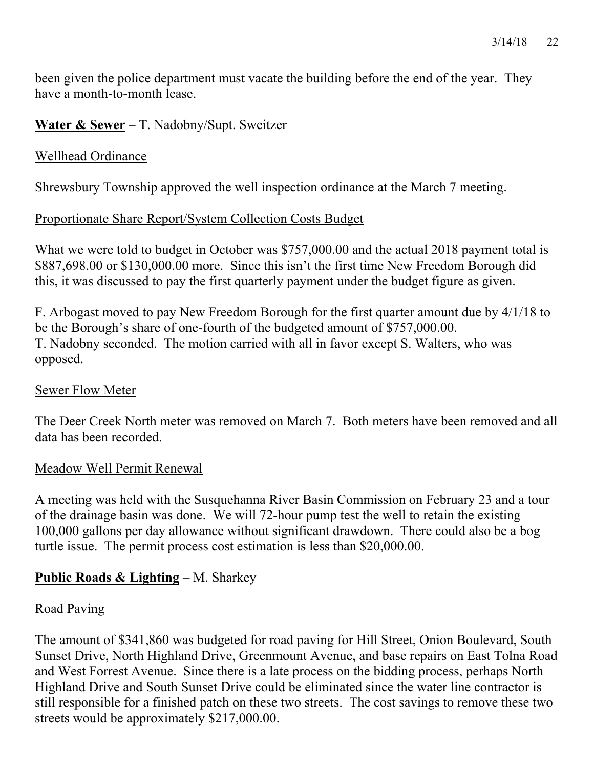3/14/18 22

been given the police department must vacate the building before the end of the year. They have a month-to-month lease.

#### **Water & Sewer** – T. Nadobny/Supt. Sweitzer

#### Wellhead Ordinance

Shrewsbury Township approved the well inspection ordinance at the March 7 meeting.

### Proportionate Share Report/System Collection Costs Budget

What we were told to budget in October was \$757,000.00 and the actual 2018 payment total is \$887,698.00 or \$130,000.00 more. Since this isn't the first time New Freedom Borough did this, it was discussed to pay the first quarterly payment under the budget figure as given.

F. Arbogast moved to pay New Freedom Borough for the first quarter amount due by 4/1/18 to be the Borough's share of one-fourth of the budgeted amount of \$757,000.00. T. Nadobny seconded. The motion carried with all in favor except S. Walters, who was opposed.

#### Sewer Flow Meter

The Deer Creek North meter was removed on March 7. Both meters have been removed and all data has been recorded.

#### Meadow Well Permit Renewal

A meeting was held with the Susquehanna River Basin Commission on February 23 and a tour of the drainage basin was done. We will 72-hour pump test the well to retain the existing 100,000 gallons per day allowance without significant drawdown. There could also be a bog turtle issue. The permit process cost estimation is less than \$20,000.00.

## **Public Roads & Lighting** – M. Sharkey

## Road Paving

The amount of \$341,860 was budgeted for road paving for Hill Street, Onion Boulevard, South Sunset Drive, North Highland Drive, Greenmount Avenue, and base repairs on East Tolna Road and West Forrest Avenue. Since there is a late process on the bidding process, perhaps North Highland Drive and South Sunset Drive could be eliminated since the water line contractor is still responsible for a finished patch on these two streets. The cost savings to remove these two streets would be approximately \$217,000.00.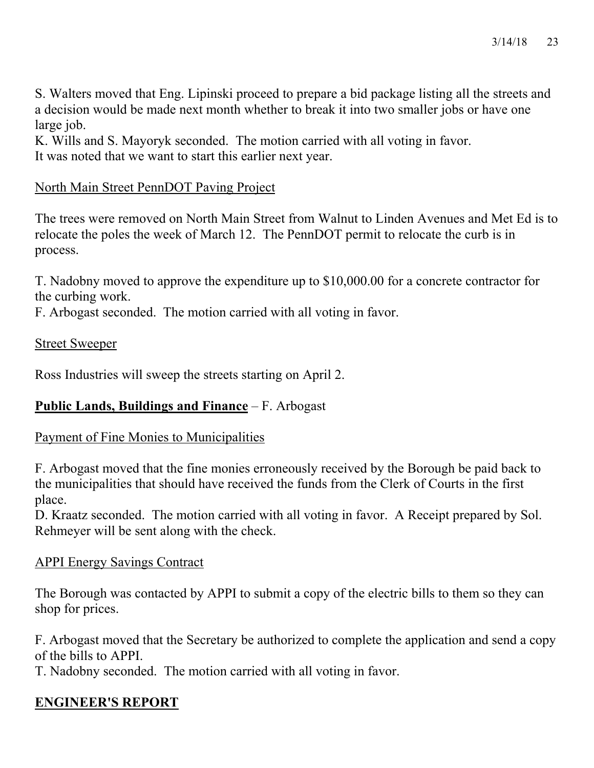S. Walters moved that Eng. Lipinski proceed to prepare a bid package listing all the streets and a decision would be made next month whether to break it into two smaller jobs or have one large job.

K. Wills and S. Mayoryk seconded. The motion carried with all voting in favor. It was noted that we want to start this earlier next year.

#### North Main Street PennDOT Paving Project

The trees were removed on North Main Street from Walnut to Linden Avenues and Met Ed is to relocate the poles the week of March 12. The PennDOT permit to relocate the curb is in process.

T. Nadobny moved to approve the expenditure up to \$10,000.00 for a concrete contractor for the curbing work.

F. Arbogast seconded. The motion carried with all voting in favor.

#### Street Sweeper

Ross Industries will sweep the streets starting on April 2.

#### **Public Lands, Buildings and Finance** – F. Arbogast

#### Payment of Fine Monies to Municipalities

F. Arbogast moved that the fine monies erroneously received by the Borough be paid back to the municipalities that should have received the funds from the Clerk of Courts in the first place.

D. Kraatz seconded. The motion carried with all voting in favor. A Receipt prepared by Sol. Rehmeyer will be sent along with the check.

#### APPI Energy Savings Contract

The Borough was contacted by APPI to submit a copy of the electric bills to them so they can shop for prices.

F. Arbogast moved that the Secretary be authorized to complete the application and send a copy of the bills to APPI.

T. Nadobny seconded. The motion carried with all voting in favor.

## **ENGINEER'S REPORT**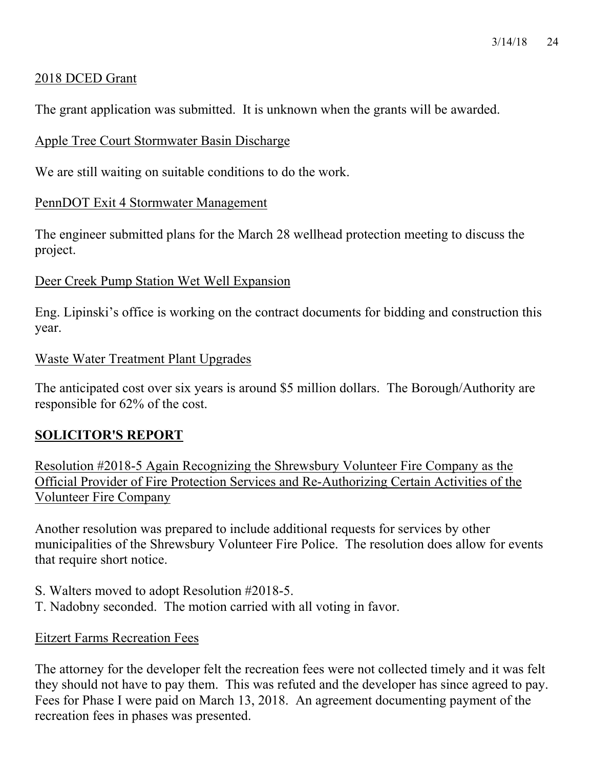## 2018 DCED Grant

The grant application was submitted. It is unknown when the grants will be awarded.

## Apple Tree Court Stormwater Basin Discharge

We are still waiting on suitable conditions to do the work.

### PennDOT Exit 4 Stormwater Management

The engineer submitted plans for the March 28 wellhead protection meeting to discuss the project.

#### Deer Creek Pump Station Wet Well Expansion

Eng. Lipinski's office is working on the contract documents for bidding and construction this year.

#### Waste Water Treatment Plant Upgrades

The anticipated cost over six years is around \$5 million dollars. The Borough/Authority are responsible for 62% of the cost.

## **SOLICITOR'S REPORT**

Resolution #2018-5 Again Recognizing the Shrewsbury Volunteer Fire Company as the Official Provider of Fire Protection Services and Re-Authorizing Certain Activities of the Volunteer Fire Company

Another resolution was prepared to include additional requests for services by other municipalities of the Shrewsbury Volunteer Fire Police. The resolution does allow for events that require short notice.

- S. Walters moved to adopt Resolution #2018-5.
- T. Nadobny seconded. The motion carried with all voting in favor.

#### Eitzert Farms Recreation Fees

The attorney for the developer felt the recreation fees were not collected timely and it was felt they should not have to pay them. This was refuted and the developer has since agreed to pay. Fees for Phase I were paid on March 13, 2018. An agreement documenting payment of the recreation fees in phases was presented.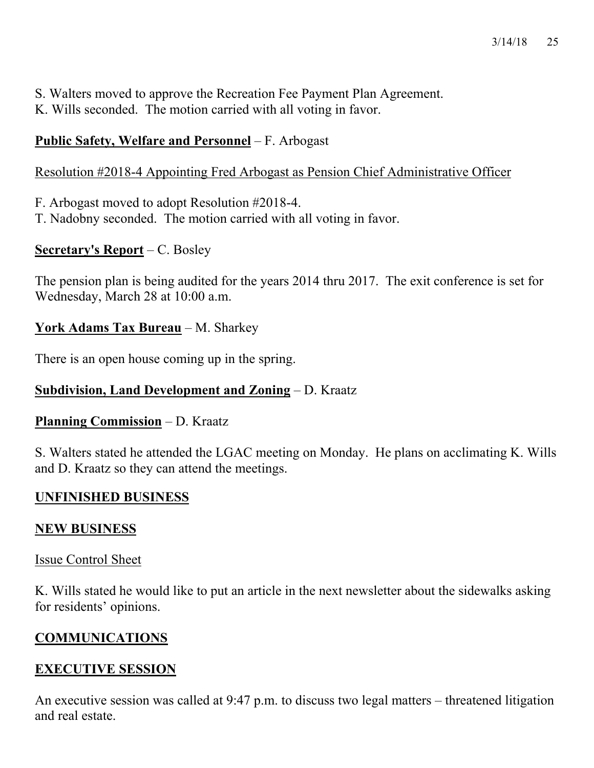- S. Walters moved to approve the Recreation Fee Payment Plan Agreement.
- K. Wills seconded. The motion carried with all voting in favor.

# **Public Safety, Welfare and Personnel** – F. Arbogast

# Resolution #2018-4 Appointing Fred Arbogast as Pension Chief Administrative Officer

- F. Arbogast moved to adopt Resolution #2018-4.
- T. Nadobny seconded. The motion carried with all voting in favor.

# **Secretary's Report** – C. Bosley

The pension plan is being audited for the years 2014 thru 2017. The exit conference is set for Wednesday, March 28 at 10:00 a.m.

# **York Adams Tax Bureau** – M. Sharkey

There is an open house coming up in the spring.

# **Subdivision, Land Development and Zoning** – D. Kraatz

# **Planning Commission** – D. Kraatz

S. Walters stated he attended the LGAC meeting on Monday. He plans on acclimating K. Wills and D. Kraatz so they can attend the meetings.

# **UNFINISHED BUSINESS**

# **NEW BUSINESS**

# Issue Control Sheet

K. Wills stated he would like to put an article in the next newsletter about the sidewalks asking for residents' opinions.

# **COMMUNICATIONS**

# **EXECUTIVE SESSION**

An executive session was called at 9:47 p.m. to discuss two legal matters – threatened litigation and real estate.